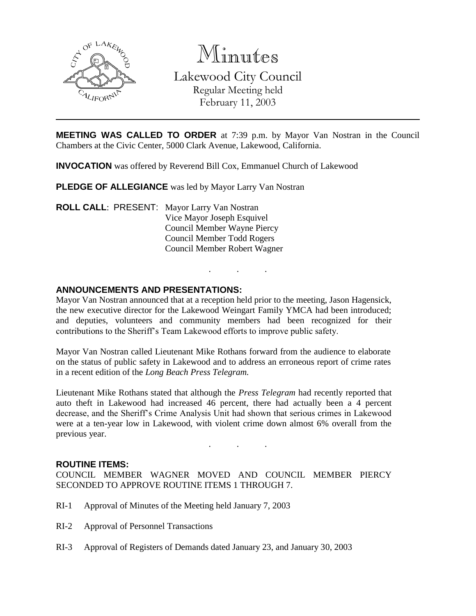

Minutes Lakewood City Council Regular Meeting held

February 11, 2003

**MEETING WAS CALLED TO ORDER** at 7:39 p.m. by Mayor Van Nostran in the Council Chambers at the Civic Center, 5000 Clark Avenue, Lakewood, California.

**INVOCATION** was offered by Reverend Bill Cox, Emmanuel Church of Lakewood

**PLEDGE OF ALLEGIANCE** was led by Mayor Larry Van Nostran

**ROLL CALL**: PRESENT: Mayor Larry Van Nostran Vice Mayor Joseph Esquivel Council Member Wayne Piercy Council Member Todd Rogers Council Member Robert Wagner

### **ANNOUNCEMENTS AND PRESENTATIONS:**

Mayor Van Nostran announced that at a reception held prior to the meeting, Jason Hagensick, the new executive director for the Lakewood Weingart Family YMCA had been introduced; and deputies, volunteers and community members had been recognized for their contributions to the Sheriff's Team Lakewood efforts to improve public safety.

. . .

Mayor Van Nostran called Lieutenant Mike Rothans forward from the audience to elaborate on the status of public safety in Lakewood and to address an erroneous report of crime rates in a recent edition of the *Long Beach Press Telegram.*

Lieutenant Mike Rothans stated that although the *Press Telegram* had recently reported that auto theft in Lakewood had increased 46 percent, there had actually been a 4 percent decrease, and the Sheriff's Crime Analysis Unit had shown that serious crimes in Lakewood were at a ten-year low in Lakewood, with violent crime down almost 6% overall from the previous year.

. . .

#### **ROUTINE ITEMS:**

COUNCIL MEMBER WAGNER MOVED AND COUNCIL MEMBER PIERCY SECONDED TO APPROVE ROUTINE ITEMS 1 THROUGH 7.

- RI-1 Approval of Minutes of the Meeting held January 7, 2003
- RI-2 Approval of Personnel Transactions
- RI-3 Approval of Registers of Demands dated January 23, and January 30, 2003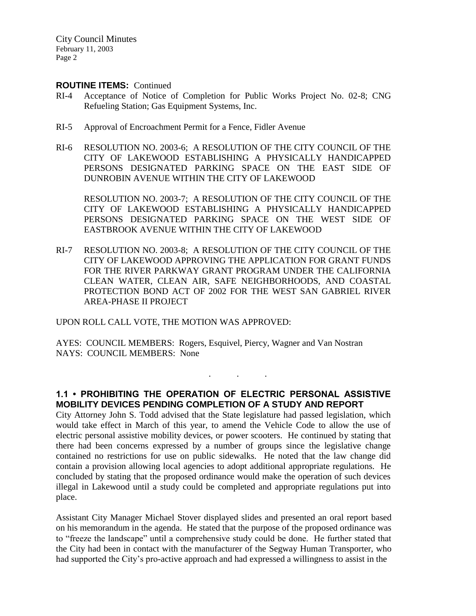City Council Minutes February 11, 2003 Page 2

#### **ROUTINE ITEMS:** Continued

- RI-4 Acceptance of Notice of Completion for Public Works Project No. 02-8; CNG Refueling Station; Gas Equipment Systems, Inc.
- RI-5 Approval of Encroachment Permit for a Fence, Fidler Avenue
- RI-6 RESOLUTION NO. 2003-6; A RESOLUTION OF THE CITY COUNCIL OF THE CITY OF LAKEWOOD ESTABLISHING A PHYSICALLY HANDICAPPED PERSONS DESIGNATED PARKING SPACE ON THE EAST SIDE OF DUNROBIN AVENUE WITHIN THE CITY OF LAKEWOOD

RESOLUTION NO. 2003-7; A RESOLUTION OF THE CITY COUNCIL OF THE CITY OF LAKEWOOD ESTABLISHING A PHYSICALLY HANDICAPPED PERSONS DESIGNATED PARKING SPACE ON THE WEST SIDE OF EASTBROOK AVENUE WITHIN THE CITY OF LAKEWOOD

RI-7 RESOLUTION NO. 2003-8; A RESOLUTION OF THE CITY COUNCIL OF THE CITY OF LAKEWOOD APPROVING THE APPLICATION FOR GRANT FUNDS FOR THE RIVER PARKWAY GRANT PROGRAM UNDER THE CALIFORNIA CLEAN WATER, CLEAN AIR, SAFE NEIGHBORHOODS, AND COASTAL PROTECTION BOND ACT OF 2002 FOR THE WEST SAN GABRIEL RIVER AREA-PHASE II PROJECT

UPON ROLL CALL VOTE, THE MOTION WAS APPROVED:

AYES: COUNCIL MEMBERS: Rogers, Esquivel, Piercy, Wagner and Van Nostran NAYS: COUNCIL MEMBERS: None

# **1.1 • PROHIBITING THE OPERATION OF ELECTRIC PERSONAL ASSISTIVE MOBILITY DEVICES PENDING COMPLETION OF A STUDY AND REPORT**

. . .

City Attorney John S. Todd advised that the State legislature had passed legislation, which would take effect in March of this year, to amend the Vehicle Code to allow the use of electric personal assistive mobility devices, or power scooters. He continued by stating that there had been concerns expressed by a number of groups since the legislative change contained no restrictions for use on public sidewalks. He noted that the law change did contain a provision allowing local agencies to adopt additional appropriate regulations. He concluded by stating that the proposed ordinance would make the operation of such devices illegal in Lakewood until a study could be completed and appropriate regulations put into place.

Assistant City Manager Michael Stover displayed slides and presented an oral report based on his memorandum in the agenda. He stated that the purpose of the proposed ordinance was to "freeze the landscape" until a comprehensive study could be done. He further stated that the City had been in contact with the manufacturer of the Segway Human Transporter, who had supported the City's pro-active approach and had expressed a willingness to assist in the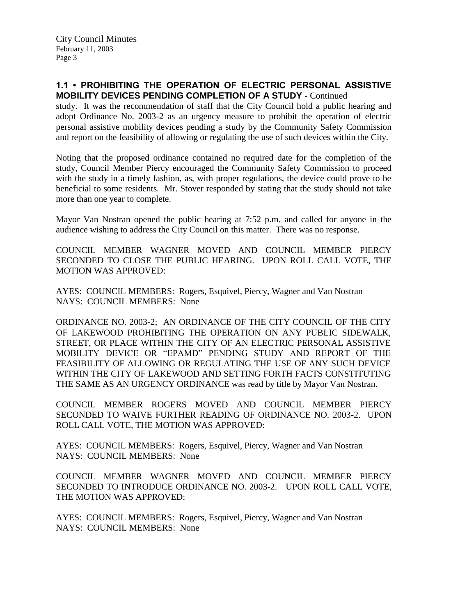### **1.1 • PROHIBITING THE OPERATION OF ELECTRIC PERSONAL ASSISTIVE MOBILITY DEVICES PENDING COMPLETION OF A STUDY** - Continued

study. It was the recommendation of staff that the City Council hold a public hearing and adopt Ordinance No. 2003-2 as an urgency measure to prohibit the operation of electric personal assistive mobility devices pending a study by the Community Safety Commission and report on the feasibility of allowing or regulating the use of such devices within the City.

Noting that the proposed ordinance contained no required date for the completion of the study, Council Member Piercy encouraged the Community Safety Commission to proceed with the study in a timely fashion, as, with proper regulations, the device could prove to be beneficial to some residents. Mr. Stover responded by stating that the study should not take more than one year to complete.

Mayor Van Nostran opened the public hearing at 7:52 p.m. and called for anyone in the audience wishing to address the City Council on this matter. There was no response.

COUNCIL MEMBER WAGNER MOVED AND COUNCIL MEMBER PIERCY SECONDED TO CLOSE THE PUBLIC HEARING. UPON ROLL CALL VOTE, THE MOTION WAS APPROVED:

AYES: COUNCIL MEMBERS: Rogers, Esquivel, Piercy, Wagner and Van Nostran NAYS: COUNCIL MEMBERS: None

ORDINANCE NO. 2003-2; AN ORDINANCE OF THE CITY COUNCIL OF THE CITY OF LAKEWOOD PROHIBITING THE OPERATION ON ANY PUBLIC SIDEWALK, STREET, OR PLACE WITHIN THE CITY OF AN ELECTRIC PERSONAL ASSISTIVE MOBILITY DEVICE OR "EPAMD" PENDING STUDY AND REPORT OF THE FEASIBILITY OF ALLOWING OR REGULATING THE USE OF ANY SUCH DEVICE WITHIN THE CITY OF LAKEWOOD AND SETTING FORTH FACTS CONSTITUTING THE SAME AS AN URGENCY ORDINANCE was read by title by Mayor Van Nostran.

COUNCIL MEMBER ROGERS MOVED AND COUNCIL MEMBER PIERCY SECONDED TO WAIVE FURTHER READING OF ORDINANCE NO. 2003-2. UPON ROLL CALL VOTE, THE MOTION WAS APPROVED:

AYES: COUNCIL MEMBERS: Rogers, Esquivel, Piercy, Wagner and Van Nostran NAYS: COUNCIL MEMBERS: None

COUNCIL MEMBER WAGNER MOVED AND COUNCIL MEMBER PIERCY SECONDED TO INTRODUCE ORDINANCE NO. 2003-2. UPON ROLL CALL VOTE, THE MOTION WAS APPROVED:

AYES: COUNCIL MEMBERS: Rogers, Esquivel, Piercy, Wagner and Van Nostran NAYS: COUNCIL MEMBERS: None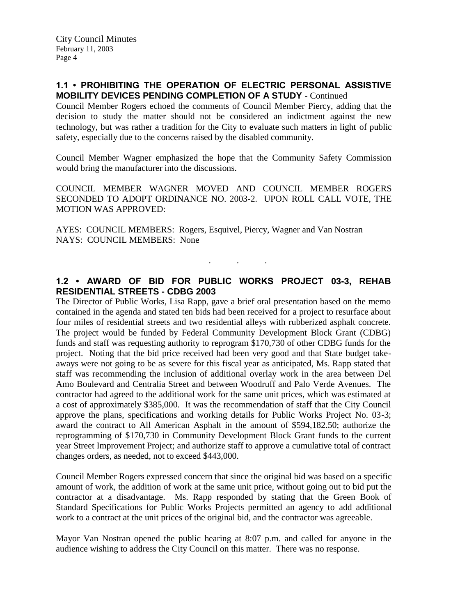### **1.1 • PROHIBITING THE OPERATION OF ELECTRIC PERSONAL ASSISTIVE MOBILITY DEVICES PENDING COMPLETION OF A STUDY** - Continued

Council Member Rogers echoed the comments of Council Member Piercy, adding that the decision to study the matter should not be considered an indictment against the new technology, but was rather a tradition for the City to evaluate such matters in light of public safety, especially due to the concerns raised by the disabled community.

Council Member Wagner emphasized the hope that the Community Safety Commission would bring the manufacturer into the discussions.

COUNCIL MEMBER WAGNER MOVED AND COUNCIL MEMBER ROGERS SECONDED TO ADOPT ORDINANCE NO. 2003-2. UPON ROLL CALL VOTE, THE MOTION WAS APPROVED:

AYES: COUNCIL MEMBERS: Rogers, Esquivel, Piercy, Wagner and Van Nostran NAYS: COUNCIL MEMBERS: None

# **1.2 • AWARD OF BID FOR PUBLIC WORKS PROJECT 03-3, REHAB RESIDENTIAL STREETS - CDBG 2003**

. . .

The Director of Public Works, Lisa Rapp, gave a brief oral presentation based on the memo contained in the agenda and stated ten bids had been received for a project to resurface about four miles of residential streets and two residential alleys with rubberized asphalt concrete. The project would be funded by Federal Community Development Block Grant (CDBG) funds and staff was requesting authority to reprogram \$170,730 of other CDBG funds for the project. Noting that the bid price received had been very good and that State budget takeaways were not going to be as severe for this fiscal year as anticipated, Ms. Rapp stated that staff was recommending the inclusion of additional overlay work in the area between Del Amo Boulevard and Centralia Street and between Woodruff and Palo Verde Avenues. The contractor had agreed to the additional work for the same unit prices, which was estimated at a cost of approximately \$385,000. It was the recommendation of staff that the City Council approve the plans, specifications and working details for Public Works Project No. 03-3; award the contract to All American Asphalt in the amount of \$594,182.50; authorize the reprogramming of \$170,730 in Community Development Block Grant funds to the current year Street Improvement Project; and authorize staff to approve a cumulative total of contract changes orders, as needed, not to exceed \$443,000.

Council Member Rogers expressed concern that since the original bid was based on a specific amount of work, the addition of work at the same unit price, without going out to bid put the contractor at a disadvantage. Ms. Rapp responded by stating that the Green Book of Standard Specifications for Public Works Projects permitted an agency to add additional work to a contract at the unit prices of the original bid, and the contractor was agreeable.

Mayor Van Nostran opened the public hearing at 8:07 p.m. and called for anyone in the audience wishing to address the City Council on this matter. There was no response.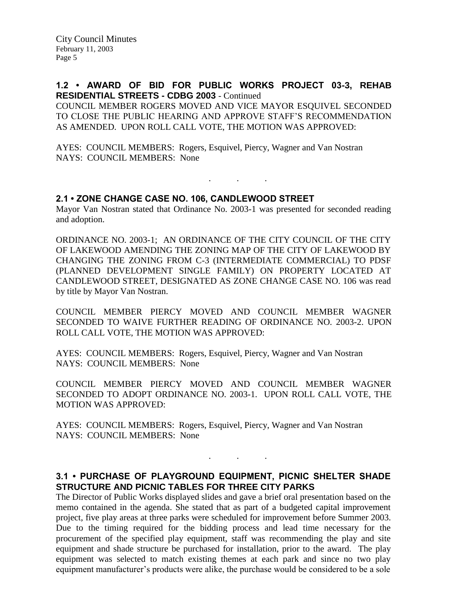#### **1.2 • AWARD OF BID FOR PUBLIC WORKS PROJECT 03-3, REHAB RESIDENTIAL STREETS - CDBG 2003** - Continued

COUNCIL MEMBER ROGERS MOVED AND VICE MAYOR ESQUIVEL SECONDED TO CLOSE THE PUBLIC HEARING AND APPROVE STAFF'S RECOMMENDATION AS AMENDED. UPON ROLL CALL VOTE, THE MOTION WAS APPROVED:

AYES: COUNCIL MEMBERS: Rogers, Esquivel, Piercy, Wagner and Van Nostran NAYS: COUNCIL MEMBERS: None

#### **2.1 • ZONE CHANGE CASE NO. 106, CANDLEWOOD STREET**

Mayor Van Nostran stated that Ordinance No. 2003-1 was presented for seconded reading and adoption.

. . .

ORDINANCE NO. 2003-1; AN ORDINANCE OF THE CITY COUNCIL OF THE CITY OF LAKEWOOD AMENDING THE ZONING MAP OF THE CITY OF LAKEWOOD BY CHANGING THE ZONING FROM C-3 (INTERMEDIATE COMMERCIAL) TO PDSF (PLANNED DEVELOPMENT SINGLE FAMILY) ON PROPERTY LOCATED AT CANDLEWOOD STREET, DESIGNATED AS ZONE CHANGE CASE NO. 106 was read by title by Mayor Van Nostran.

COUNCIL MEMBER PIERCY MOVED AND COUNCIL MEMBER WAGNER SECONDED TO WAIVE FURTHER READING OF ORDINANCE NO. 2003-2. UPON ROLL CALL VOTE, THE MOTION WAS APPROVED:

AYES: COUNCIL MEMBERS: Rogers, Esquivel, Piercy, Wagner and Van Nostran NAYS: COUNCIL MEMBERS: None

COUNCIL MEMBER PIERCY MOVED AND COUNCIL MEMBER WAGNER SECONDED TO ADOPT ORDINANCE NO. 2003-1. UPON ROLL CALL VOTE, THE MOTION WAS APPROVED:

AYES: COUNCIL MEMBERS: Rogers, Esquivel, Piercy, Wagner and Van Nostran NAYS: COUNCIL MEMBERS: None

### **3.1 • PURCHASE OF PLAYGROUND EQUIPMENT, PICNIC SHELTER SHADE STRUCTURE AND PICNIC TABLES FOR THREE CITY PARKS**

. . .

The Director of Public Works displayed slides and gave a brief oral presentation based on the memo contained in the agenda. She stated that as part of a budgeted capital improvement project, five play areas at three parks were scheduled for improvement before Summer 2003. Due to the timing required for the bidding process and lead time necessary for the procurement of the specified play equipment, staff was recommending the play and site equipment and shade structure be purchased for installation, prior to the award. The play equipment was selected to match existing themes at each park and since no two play equipment manufacturer's products were alike, the purchase would be considered to be a sole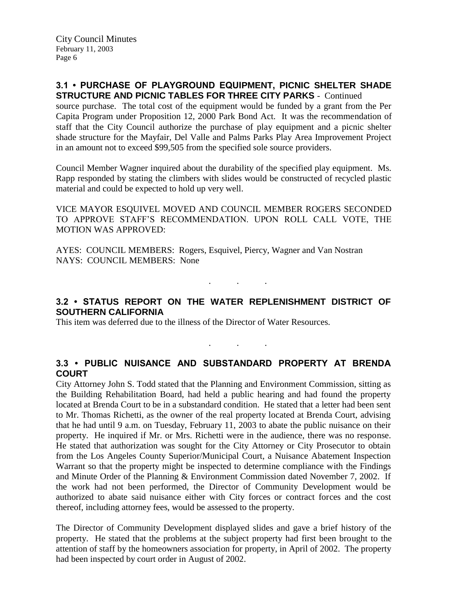### **3.1 • PURCHASE OF PLAYGROUND EQUIPMENT, PICNIC SHELTER SHADE STRUCTURE AND PICNIC TABLES FOR THREE CITY PARKS** - Continued

source purchase. The total cost of the equipment would be funded by a grant from the Per Capita Program under Proposition 12, 2000 Park Bond Act. It was the recommendation of staff that the City Council authorize the purchase of play equipment and a picnic shelter shade structure for the Mayfair, Del Valle and Palms Parks Play Area Improvement Project in an amount not to exceed \$99,505 from the specified sole source providers.

Council Member Wagner inquired about the durability of the specified play equipment. Ms. Rapp responded by stating the climbers with slides would be constructed of recycled plastic material and could be expected to hold up very well.

VICE MAYOR ESQUIVEL MOVED AND COUNCIL MEMBER ROGERS SECONDED TO APPROVE STAFF'S RECOMMENDATION. UPON ROLL CALL VOTE, THE MOTION WAS APPROVED:

AYES: COUNCIL MEMBERS: Rogers, Esquivel, Piercy, Wagner and Van Nostran NAYS: COUNCIL MEMBERS: None

# **3.2 • STATUS REPORT ON THE WATER REPLENISHMENT DISTRICT OF SOUTHERN CALIFORNIA**

 $\mathbf{r}$  .  $\mathbf{r}$  ,  $\mathbf{r}$  ,  $\mathbf{r}$  ,  $\mathbf{r}$  ,  $\mathbf{r}$  ,  $\mathbf{r}$ 

. . .

This item was deferred due to the illness of the Director of Water Resources.

# **3.3 • PUBLIC NUISANCE AND SUBSTANDARD PROPERTY AT BRENDA COURT**

City Attorney John S. Todd stated that the Planning and Environment Commission, sitting as the Building Rehabilitation Board, had held a public hearing and had found the property located at Brenda Court to be in a substandard condition. He stated that a letter had been sent to Mr. Thomas Richetti, as the owner of the real property located at Brenda Court, advising that he had until 9 a.m. on Tuesday, February 11, 2003 to abate the public nuisance on their property. He inquired if Mr. or Mrs. Richetti were in the audience, there was no response. He stated that authorization was sought for the City Attorney or City Prosecutor to obtain from the Los Angeles County Superior/Municipal Court, a Nuisance Abatement Inspection Warrant so that the property might be inspected to determine compliance with the Findings and Minute Order of the Planning & Environment Commission dated November 7, 2002. If the work had not been performed, the Director of Community Development would be authorized to abate said nuisance either with City forces or contract forces and the cost thereof, including attorney fees, would be assessed to the property.

The Director of Community Development displayed slides and gave a brief history of the property. He stated that the problems at the subject property had first been brought to the attention of staff by the homeowners association for property, in April of 2002. The property had been inspected by court order in August of 2002.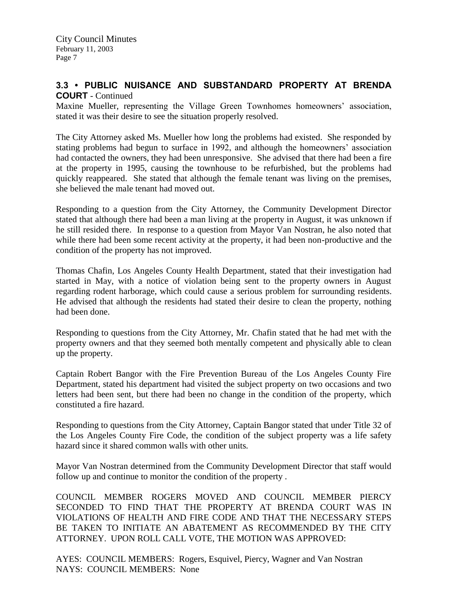### **3.3 • PUBLIC NUISANCE AND SUBSTANDARD PROPERTY AT BRENDA COURT** - Continued

Maxine Mueller, representing the Village Green Townhomes homeowners' association, stated it was their desire to see the situation properly resolved.

The City Attorney asked Ms. Mueller how long the problems had existed. She responded by stating problems had begun to surface in 1992, and although the homeowners' association had contacted the owners, they had been unresponsive. She advised that there had been a fire at the property in 1995, causing the townhouse to be refurbished, but the problems had quickly reappeared. She stated that although the female tenant was living on the premises, she believed the male tenant had moved out.

Responding to a question from the City Attorney, the Community Development Director stated that although there had been a man living at the property in August, it was unknown if he still resided there. In response to a question from Mayor Van Nostran, he also noted that while there had been some recent activity at the property, it had been non-productive and the condition of the property has not improved.

Thomas Chafin, Los Angeles County Health Department, stated that their investigation had started in May, with a notice of violation being sent to the property owners in August regarding rodent harborage, which could cause a serious problem for surrounding residents. He advised that although the residents had stated their desire to clean the property, nothing had been done.

Responding to questions from the City Attorney, Mr. Chafin stated that he had met with the property owners and that they seemed both mentally competent and physically able to clean up the property.

Captain Robert Bangor with the Fire Prevention Bureau of the Los Angeles County Fire Department, stated his department had visited the subject property on two occasions and two letters had been sent, but there had been no change in the condition of the property, which constituted a fire hazard.

Responding to questions from the City Attorney, Captain Bangor stated that under Title 32 of the Los Angeles County Fire Code, the condition of the subject property was a life safety hazard since it shared common walls with other units.

Mayor Van Nostran determined from the Community Development Director that staff would follow up and continue to monitor the condition of the property .

COUNCIL MEMBER ROGERS MOVED AND COUNCIL MEMBER PIERCY SECONDED TO FIND THAT THE PROPERTY AT BRENDA COURT WAS IN VIOLATIONS OF HEALTH AND FIRE CODE AND THAT THE NECESSARY STEPS BE TAKEN TO INITIATE AN ABATEMENT AS RECOMMENDED BY THE CITY ATTORNEY. UPON ROLL CALL VOTE, THE MOTION WAS APPROVED:

AYES: COUNCIL MEMBERS: Rogers, Esquivel, Piercy, Wagner and Van Nostran NAYS: COUNCIL MEMBERS: None